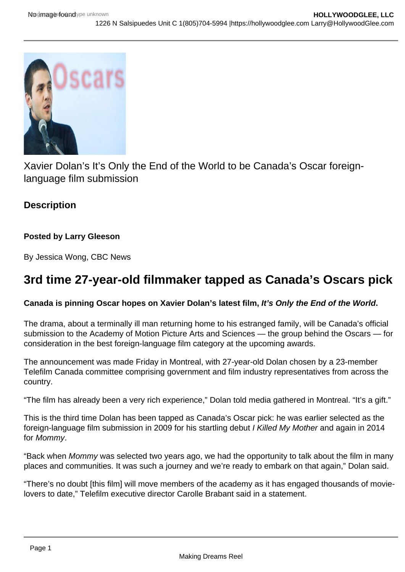

Xavier Dolan's It's Only the End of the World to be Canada's Oscar foreignlanguage film submission

## **Description**

### **Posted by Larry Gleeson**

By Jessica Wong, CBC News

# **3rd time 27-year-old filmmaker tapped as Canada's Oscars pick**

#### **Canada is pinning Oscar hopes on Xavier Dolan's latest film, It's Only the End of the World.**

The drama, about a terminally ill man returning home to his estranged family, will be Canada's official submission to the Academy of Motion Picture Arts and Sciences — the group behind the Oscars — for consideration in the best foreign-language film category at the upcoming awards.

The announcement was made Friday in Montreal, with 27-year-old Dolan chosen by a 23-member Telefilm Canada committee comprising government and film industry representatives from across the country.

"The film has already been a very rich experience," Dolan told media gathered in Montreal. "It's a gift."

This is the third time Dolan has been tapped as Canada's Oscar pick: he was earlier selected as the foreign-language film submission in 2009 for his startling debut I Killed My Mother and again in 2014 for Mommy.

"Back when Mommy was selected two years ago, we had the opportunity to talk about the film in many places and communities. It was such a journey and we're ready to embark on that again," Dolan said.

"There's no doubt [this film] will move members of the academy as it has engaged thousands of movielovers to date," Telefilm executive director Carolle Brabant said in a statement.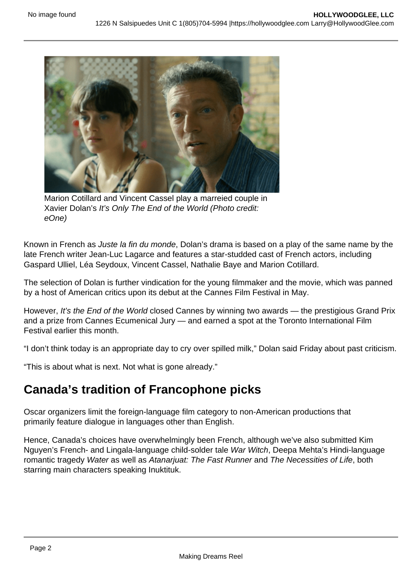

Marion Cotillard and Vincent Cassel play a marreied couple in Xavier Dolan's It's Only The End of the World (Photo credit: eOne)

Known in French as Juste la fin du monde, Dolan's drama is based on a play of the same name by the late French writer Jean-Luc Lagarce and features a star-studded cast of French actors, including Gaspard Ulliel, Léa Seydoux, Vincent Cassel, Nathalie Baye and Marion Cotillard.

The selection of Dolan is further vindication for the young filmmaker and the movie, which was panned by a host of American critics upon its debut at the Cannes Film Festival in May.

However, It's the End of the World closed Cannes by winning two awards — the prestigious Grand Prix and a prize from Cannes Ecumenical Jury — and earned a spot at the Toronto International Film Festival earlier this month.

"I don't think today is an appropriate day to cry over spilled milk," Dolan said Friday about past criticism.

"This is about what is next. Not what is gone already."

# **Canada's tradition of Francophone picks**

Oscar organizers limit the foreign-language film category to non-American productions that primarily feature dialogue in languages other than English.

Hence, Canada's choices have overwhelmingly been French, although we've also submitted Kim Nguyen's French- and Lingala-language child-solder tale War Witch, Deepa Mehta's Hindi-language romantic tragedy Water as well as Atanarjuat: The Fast Runner and The Necessities of Life, both starring main characters speaking Inuktituk.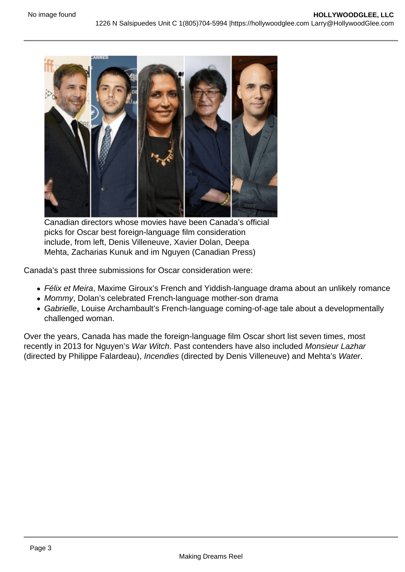

Canadian directors whose movies have been Canada's official picks for Oscar best foreign-language film consideration include, from left, Denis Villeneuve, Xavier Dolan, Deepa Mehta, Zacharias Kunuk and im Nguyen (Canadian Press)

Canada's past three submissions for Oscar consideration were:

- Félix et Meira, Maxime Giroux's French and Yiddish-language drama about an unlikely romance
- Mommy, Dolan's celebrated French-language mother-son drama
- Gabrielle, Louise Archambault's French-language coming-of-age tale about a developmentally challenged woman.

Over the years, Canada has made the foreign-language film Oscar short list seven times, most recently in 2013 for Nguyen's War Witch. Past contenders have also included Monsieur Lazhar (directed by Philippe Falardeau), Incendies (directed by Denis Villeneuve) and Mehta's Water.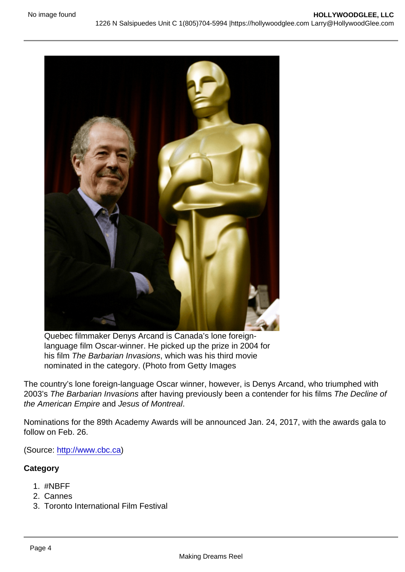Quebec filmmaker Denys Arcand is Canada's lone foreignlanguage film Oscar-winner. He picked up the prize in 2004 for his film The Barbarian Invasions, which was his third movie nominated in the category. (Photo from Getty Images

The country's lone foreign-language Oscar winner, however, is Denys Arcand, who triumphed with 2003's The Barbarian Invasions after having previously been a contender for his films The Decline of the American Empire and Jesus of Montreal.

Nominations for the 89th Academy Awards will be announced Jan. 24, 2017, with the awards gala to follow on Feb. 26.

(Source: [http://www.cbc.ca\)](http://www.cbc.ca)

**Category** 

- 1. #NBFF
- 2. Cannes
- 3. Toronto International Film Festival